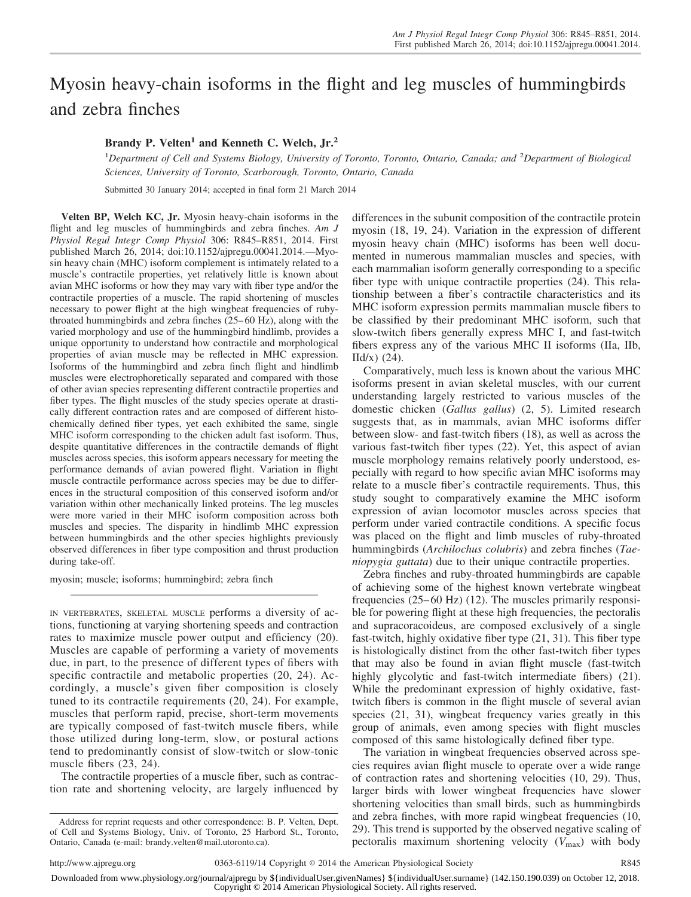# Myosin heavy-chain isoforms in the flight and leg muscles of hummingbirds and zebra finches

# **Brandy P. Velten<sup>1</sup> and Kenneth C. Welch, Jr.<sup>2</sup>**

<sup>1</sup>Department of Cell and Systems Biology, University of Toronto, Toronto, Ontario, Canada; and <sup>2</sup>Department of Biological *Sciences, University of Toronto, Scarborough, Toronto, Ontario, Canada*

Submitted 30 January 2014; accepted in final form 21 March 2014

**Velten BP, Welch KC, Jr.** Myosin heavy-chain isoforms in the flight and leg muscles of hummingbirds and zebra finches. *Am J Physiol Regul Integr Comp Physiol* 306: R845–R851, 2014. First published March 26, 2014; doi:10.1152/ajpregu.00041.2014.—Myosin heavy chain (MHC) isoform complement is intimately related to a muscle's contractile properties, yet relatively little is known about avian MHC isoforms or how they may vary with fiber type and/or the contractile properties of a muscle. The rapid shortening of muscles necessary to power flight at the high wingbeat frequencies of rubythroated hummingbirds and zebra finches (25– 60 Hz), along with the varied morphology and use of the hummingbird hindlimb, provides a unique opportunity to understand how contractile and morphological properties of avian muscle may be reflected in MHC expression. Isoforms of the hummingbird and zebra finch flight and hindlimb muscles were electrophoretically separated and compared with those of other avian species representing different contractile properties and fiber types. The flight muscles of the study species operate at drastically different contraction rates and are composed of different histochemically defined fiber types, yet each exhibited the same, single MHC isoform corresponding to the chicken adult fast isoform. Thus, despite quantitative differences in the contractile demands of flight muscles across species, this isoform appears necessary for meeting the performance demands of avian powered flight. Variation in flight muscle contractile performance across species may be due to differences in the structural composition of this conserved isoform and/or variation within other mechanically linked proteins. The leg muscles were more varied in their MHC isoform composition across both muscles and species. The disparity in hindlimb MHC expression between hummingbirds and the other species highlights previously observed differences in fiber type composition and thrust production during take-off.

myosin; muscle; isoforms; hummingbird; zebra finch

IN VERTEBRATES, SKELETAL MUSCLE performs a diversity of actions, functioning at varying shortening speeds and contraction rates to maximize muscle power output and efficiency (20). Muscles are capable of performing a variety of movements due, in part, to the presence of different types of fibers with specific contractile and metabolic properties (20, 24). Accordingly, a muscle's given fiber composition is closely tuned to its contractile requirements (20, 24). For example, muscles that perform rapid, precise, short-term movements are typically composed of fast-twitch muscle fibers, while those utilized during long-term, slow, or postural actions tend to predominantly consist of slow-twitch or slow-tonic muscle fibers (23, 24).

The contractile properties of a muscle fiber, such as contraction rate and shortening velocity, are largely influenced by differences in the subunit composition of the contractile protein myosin (18, 19, 24). Variation in the expression of different myosin heavy chain (MHC) isoforms has been well documented in numerous mammalian muscles and species, with each mammalian isoform generally corresponding to a specific fiber type with unique contractile properties (24). This relationship between a fiber's contractile characteristics and its MHC isoform expression permits mammalian muscle fibers to be classified by their predominant MHC isoform, such that slow-twitch fibers generally express MHC I, and fast-twitch fibers express any of the various MHC II isoforms (IIa, IIb,  $\Pi d/x$ ) (24).

Comparatively, much less is known about the various MHC isoforms present in avian skeletal muscles, with our current understanding largely restricted to various muscles of the domestic chicken (*Gallus gallus*) (2, 5). Limited research suggests that, as in mammals, avian MHC isoforms differ between slow- and fast-twitch fibers (18), as well as across the various fast-twitch fiber types (22). Yet, this aspect of avian muscle morphology remains relatively poorly understood, especially with regard to how specific avian MHC isoforms may relate to a muscle fiber's contractile requirements. Thus, this study sought to comparatively examine the MHC isoform expression of avian locomotor muscles across species that perform under varied contractile conditions. A specific focus was placed on the flight and limb muscles of ruby-throated hummingbirds (*Archilochus colubris*) and zebra finches (*Taeniopygia guttata*) due to their unique contractile properties.

Zebra finches and ruby-throated hummingbirds are capable of achieving some of the highest known vertebrate wingbeat frequencies  $(25-60 \text{ Hz})$  (12). The muscles primarily responsible for powering flight at these high frequencies, the pectoralis and supracoracoideus, are composed exclusively of a single fast-twitch, highly oxidative fiber type (21, 31). This fiber type is histologically distinct from the other fast-twitch fiber types that may also be found in avian flight muscle (fast-twitch highly glycolytic and fast-twitch intermediate fibers) (21). While the predominant expression of highly oxidative, fasttwitch fibers is common in the flight muscle of several avian species (21, 31), wingbeat frequency varies greatly in this group of animals, even among species with flight muscles composed of this same histologically defined fiber type.

The variation in wingbeat frequencies observed across species requires avian flight muscle to operate over a wide range of contraction rates and shortening velocities (10, 29). Thus, larger birds with lower wingbeat frequencies have slower shortening velocities than small birds, such as hummingbirds and zebra finches, with more rapid wingbeat frequencies (10, 29). This trend is supported by the observed negative scaling of pectoralis maximum shortening velocity (*V*max) with body

Downloaded from www.physiology.org/journal/ajpregu by \${individualUser.givenNames} \${individualUser.surname} (142.150.190.039) on October 12, 2018. Copyright © 2014 American Physiological Society. All rights reserved.

Address for reprint requests and other correspondence: B. P. Velten, Dept. of Cell and Systems Biology, Univ. of Toronto, 25 Harbord St., Toronto, Ontario, Canada (e-mail: [brandy.velten@mail.utoronto.ca\)](mailto:brandy.velten@mail.utoronto.ca).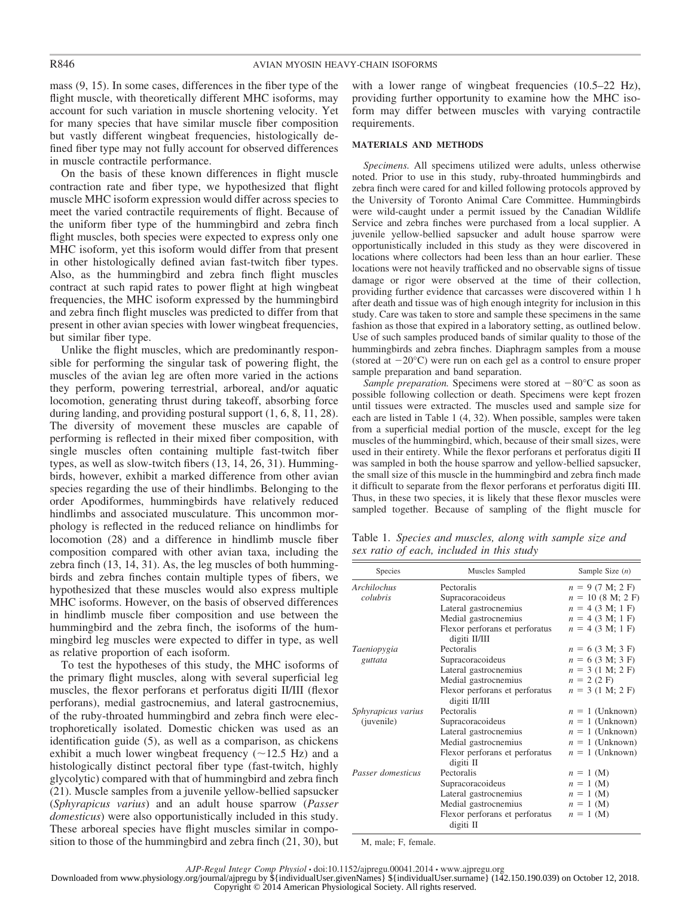mass (9, 15). In some cases, differences in the fiber type of the flight muscle, with theoretically different MHC isoforms, may account for such variation in muscle shortening velocity. Yet for many species that have similar muscle fiber composition but vastly different wingbeat frequencies, histologically defined fiber type may not fully account for observed differences in muscle contractile performance.

On the basis of these known differences in flight muscle contraction rate and fiber type, we hypothesized that flight muscle MHC isoform expression would differ across species to meet the varied contractile requirements of flight. Because of the uniform fiber type of the hummingbird and zebra finch flight muscles, both species were expected to express only one MHC isoform, yet this isoform would differ from that present in other histologically defined avian fast-twitch fiber types. Also, as the hummingbird and zebra finch flight muscles contract at such rapid rates to power flight at high wingbeat frequencies, the MHC isoform expressed by the hummingbird and zebra finch flight muscles was predicted to differ from that present in other avian species with lower wingbeat frequencies, but similar fiber type.

Unlike the flight muscles, which are predominantly responsible for performing the singular task of powering flight, the muscles of the avian leg are often more varied in the actions they perform, powering terrestrial, arboreal, and/or aquatic locomotion, generating thrust during takeoff, absorbing force during landing, and providing postural support (1, 6, 8, 11, 28). The diversity of movement these muscles are capable of performing is reflected in their mixed fiber composition, with single muscles often containing multiple fast-twitch fiber types, as well as slow-twitch fibers (13, 14, 26, 31). Hummingbirds, however, exhibit a marked difference from other avian species regarding the use of their hindlimbs. Belonging to the order Apodiformes, hummingbirds have relatively reduced hindlimbs and associated musculature. This uncommon morphology is reflected in the reduced reliance on hindlimbs for locomotion (28) and a difference in hindlimb muscle fiber composition compared with other avian taxa, including the zebra finch (13, 14, 31). As, the leg muscles of both hummingbirds and zebra finches contain multiple types of fibers, we hypothesized that these muscles would also express multiple MHC isoforms. However, on the basis of observed differences in hindlimb muscle fiber composition and use between the hummingbird and the zebra finch, the isoforms of the hummingbird leg muscles were expected to differ in type, as well as relative proportion of each isoform.

To test the hypotheses of this study, the MHC isoforms of the primary flight muscles, along with several superficial leg muscles, the flexor perforans et perforatus digiti II/III (flexor perforans), medial gastrocnemius, and lateral gastrocnemius, of the ruby-throated hummingbird and zebra finch were electrophoretically isolated. Domestic chicken was used as an identification guide (5), as well as a comparison, as chickens exhibit a much lower wingbeat frequency  $(\sim 12.5 \text{ Hz})$  and a histologically distinct pectoral fiber type (fast-twitch, highly glycolytic) compared with that of hummingbird and zebra finch (21). Muscle samples from a juvenile yellow-bellied sapsucker (*Sphyrapicus varius*) and an adult house sparrow (*Passer domesticus*) were also opportunistically included in this study. These arboreal species have flight muscles similar in composition to those of the hummingbird and zebra finch (21, 30), but

with a lower range of wingbeat frequencies (10.5–22 Hz), providing further opportunity to examine how the MHC isoform may differ between muscles with varying contractile requirements.

# **MATERIALS AND METHODS**

*Specimens.* All specimens utilized were adults, unless otherwise noted. Prior to use in this study, ruby-throated hummingbirds and zebra finch were cared for and killed following protocols approved by the University of Toronto Animal Care Committee. Hummingbirds were wild-caught under a permit issued by the Canadian Wildlife Service and zebra finches were purchased from a local supplier. A juvenile yellow-bellied sapsucker and adult house sparrow were opportunistically included in this study as they were discovered in locations where collectors had been less than an hour earlier. These locations were not heavily trafficked and no observable signs of tissue damage or rigor were observed at the time of their collection, providing further evidence that carcasses were discovered within 1 h after death and tissue was of high enough integrity for inclusion in this study. Care was taken to store and sample these specimens in the same fashion as those that expired in a laboratory setting, as outlined below. Use of such samples produced bands of similar quality to those of the hummingbirds and zebra finches. Diaphragm samples from a mouse (stored at  $-20^{\circ}$ C) were run on each gel as a control to ensure proper sample preparation and band separation.

*Sample preparation.* Specimens were stored at  $-80^{\circ}$ C as soon as possible following collection or death. Specimens were kept frozen until tissues were extracted. The muscles used and sample size for each are listed in Table 1 (4, 32). When possible, samples were taken from a superficial medial portion of the muscle, except for the leg muscles of the hummingbird, which, because of their small sizes, were used in their entirety. While the flexor perforans et perforatus digiti II was sampled in both the house sparrow and yellow-bellied sapsucker, the small size of this muscle in the hummingbird and zebra finch made it difficult to separate from the flexor perforans et perforatus digiti III. Thus, in these two species, it is likely that these flexor muscles were sampled together. Because of sampling of the flight muscle for

Table 1. *Species and muscles, along with sample size and sex ratio of each, included in this study*

| Species            | Muscles Sampled                                 | Sample Size $(n)$   |  |
|--------------------|-------------------------------------------------|---------------------|--|
| Archilochus        | Pectoralis                                      | $n = 9$ (7 M; 2 F)  |  |
| colubris           | Supracoracoideus                                | $n = 10 (8 M; 2 F)$ |  |
|                    | Lateral gastrocnemius                           | $n = 4$ (3 M; 1 F)  |  |
|                    | Medial gastrocnemius                            | $n = 4$ (3 M; 1 F)  |  |
|                    | Flexor perforans et perforatus<br>digiti II/III | $n = 4$ (3 M; 1 F)  |  |
| Taeniopygia        | Pectoralis                                      | $n = 6$ (3 M; 3 F)  |  |
| guttata            | Supracoracoideus                                | $n = 6$ (3 M; 3 F)  |  |
|                    | Lateral gastrocnemius                           | $n = 3$ (1 M; 2 F)  |  |
|                    | Medial gastrocnemius                            | $n = 2 (2 F)$       |  |
|                    | Flexor perforans et perforatus<br>digiti II/III | $n = 3$ (1 M; 2 F)  |  |
| Sphyrapicus varius | Pectoralis                                      | $n = 1$ (Unknown)   |  |
| (juvenile)         | Supracoracoideus                                | $n = 1$ (Unknown)   |  |
|                    | Lateral gastrocnemius                           | $n = 1$ (Unknown)   |  |
|                    | Medial gastrocnemius                            | $n = 1$ (Unknown)   |  |
|                    | Flexor perforans et perforatus<br>digiti II     | $n = 1$ (Unknown)   |  |
| Passer domesticus  | Pectoralis                                      | $n = 1$ (M)         |  |
|                    | Supracoracoideus                                | $n = 1$ (M)         |  |
|                    | Lateral gastrocnemius                           | $n = 1$ (M)         |  |
|                    | Medial gastrocnemius                            | $n = 1$ (M)         |  |
|                    | Flexor perforans et perforatus<br>digiti II     | $n = 1$ (M)         |  |

M, male; F, female.

AJP-Regul Integr Comp Physiol • doi:10.1152/ajpregu.00041.2014 • www.ajpregu.org<br>Downloaded from www.physiology.org/journal/ajpregu by \${individualUser.givenNames} \${individualUser.surname} (142.150.190.039) on October 12,

Copyright © 2014 American Physiological Society. All rights reserved.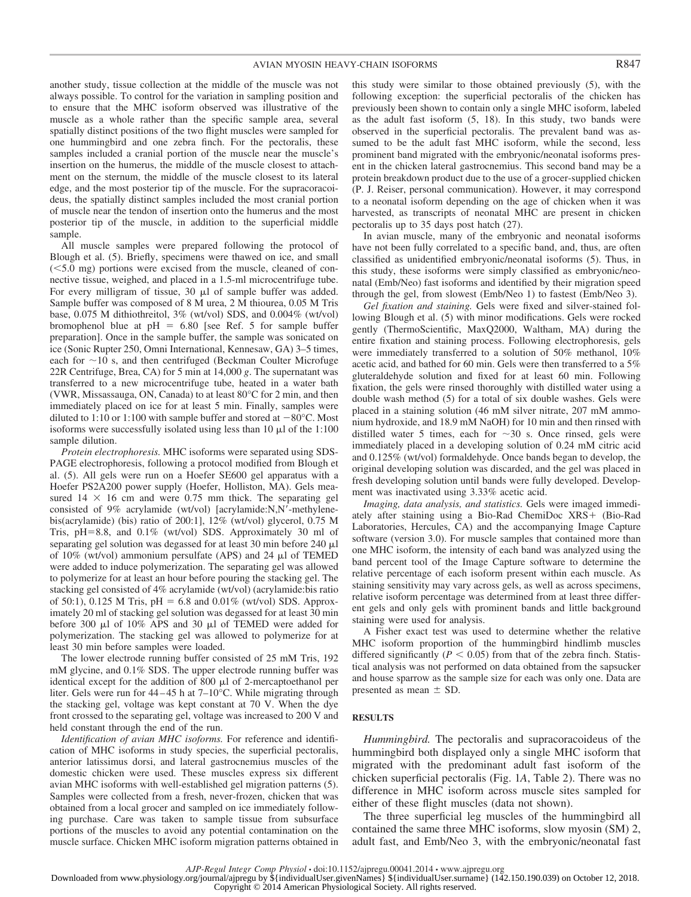another study, tissue collection at the middle of the muscle was not always possible. To control for the variation in sampling position and to ensure that the MHC isoform observed was illustrative of the muscle as a whole rather than the specific sample area, several spatially distinct positions of the two flight muscles were sampled for one hummingbird and one zebra finch. For the pectoralis, these samples included a cranial portion of the muscle near the muscle's insertion on the humerus, the middle of the muscle closest to attachment on the sternum, the middle of the muscle closest to its lateral edge, and the most posterior tip of the muscle. For the supracoracoideus, the spatially distinct samples included the most cranial portion of muscle near the tendon of insertion onto the humerus and the most posterior tip of the muscle, in addition to the superficial middle sample.

All muscle samples were prepared following the protocol of Blough et al. (5). Briefly, specimens were thawed on ice, and small  $(<5.0$  mg) portions were excised from the muscle, cleaned of connective tissue, weighed, and placed in a 1.5-ml microcentrifuge tube. For every milligram of tissue,  $30 \mu l$  of sample buffer was added. Sample buffer was composed of 8 M urea, 2 M thiourea, 0.05 M Tris base, 0.075 M dithiothreitol, 3% (wt/vol) SDS, and 0.004% (wt/vol) bromophenol blue at  $pH = 6.80$  [see Ref. 5 for sample buffer preparation]. Once in the sample buffer, the sample was sonicated on ice (Sonic Rupter 250, Omni International, Kennesaw, GA) 3–5 times, each for  $\sim$ 10 s, and then centrifuged (Beckman Coulter Microfuge 22R Centrifuge, Brea, CA) for 5 min at 14,000 *g*. The supernatant was transferred to a new microcentrifuge tube, heated in a water bath (VWR, Missassauga, ON, Canada) to at least 80°C for 2 min, and then immediately placed on ice for at least 5 min. Finally, samples were diluted to 1:10 or 1:100 with sample buffer and stored at  $-80^{\circ}$ C. Most isoforms were successfully isolated using less than  $10 \mu l$  of the 1:100 sample dilution.

*Protein electrophoresis.* MHC isoforms were separated using SDS-PAGE electrophoresis, following a protocol modified from Blough et al. (5). All gels were run on a Hoefer SE600 gel apparatus with a Hoefer PS2A200 power supply (Hoefer, Holliston, MA). Gels measured  $14 \times 16$  cm and were 0.75 mm thick. The separating gel consisted of 9% acrylamide (wt/vol) [acrylamide:N,N'-methylenebis(acrylamide) (bis) ratio of 200:1], 12% (wt/vol) glycerol, 0.75 M Tris,  $pH=8.8$ , and  $0.1\%$  (wt/vol) SDS. Approximately 30 ml of separating gel solution was degassed for at least 30 min before  $240 \mu l$ of  $10\%$  (wt/vol) ammonium persulfate (APS) and 24  $\mu$ l of TEMED were added to induce polymerization. The separating gel was allowed to polymerize for at least an hour before pouring the stacking gel. The stacking gel consisted of 4% acrylamide (wt/vol) (acrylamide:bis ratio of 50:1), 0.125 M Tris,  $pH = 6.8$  and 0.01% (wt/vol) SDS. Approximately 20 ml of stacking gel solution was degassed for at least 30 min before 300  $\mu$ l of 10% APS and 30  $\mu$ l of TEMED were added for polymerization. The stacking gel was allowed to polymerize for at least 30 min before samples were loaded.

The lower electrode running buffer consisted of 25 mM Tris, 192 mM glycine, and 0.1% SDS. The upper electrode running buffer was identical except for the addition of 800  $\mu$ l of 2-mercaptoethanol per liter. Gels were run for 44–45 h at 7–10°C. While migrating through the stacking gel, voltage was kept constant at 70 V. When the dye front crossed to the separating gel, voltage was increased to 200 V and held constant through the end of the run.

*Identification of avian MHC isoforms.* For reference and identification of MHC isoforms in study species, the superficial pectoralis, anterior latissimus dorsi, and lateral gastrocnemius muscles of the domestic chicken were used. These muscles express six different avian MHC isoforms with well-established gel migration patterns (5). Samples were collected from a fresh, never-frozen, chicken that was obtained from a local grocer and sampled on ice immediately following purchase. Care was taken to sample tissue from subsurface portions of the muscles to avoid any potential contamination on the muscle surface. Chicken MHC isoform migration patterns obtained in

this study were similar to those obtained previously (5), with the following exception: the superficial pectoralis of the chicken has previously been shown to contain only a single MHC isoform, labeled as the adult fast isoform (5, 18). In this study, two bands were observed in the superficial pectoralis. The prevalent band was assumed to be the adult fast MHC isoform, while the second, less prominent band migrated with the embryonic/neonatal isoforms present in the chicken lateral gastrocnemius. This second band may be a protein breakdown product due to the use of a grocer-supplied chicken (P. J. Reiser, personal communication). However, it may correspond to a neonatal isoform depending on the age of chicken when it was harvested, as transcripts of neonatal MHC are present in chicken pectoralis up to 35 days post hatch (27).

In avian muscle, many of the embryonic and neonatal isoforms have not been fully correlated to a specific band, and, thus, are often classified as unidentified embryonic/neonatal isoforms (5). Thus, in this study, these isoforms were simply classified as embryonic/neonatal (Emb/Neo) fast isoforms and identified by their migration speed through the gel, from slowest (Emb/Neo 1) to fastest (Emb/Neo 3).

*Gel fixation and staining.* Gels were fixed and silver-stained following Blough et al. (5) with minor modifications. Gels were rocked gently (ThermoScientific, MaxQ2000, Waltham, MA) during the entire fixation and staining process. Following electrophoresis, gels were immediately transferred to a solution of 50% methanol, 10% acetic acid, and bathed for 60 min. Gels were then transferred to a 5% gluteraldehyde solution and fixed for at least 60 min. Following fixation, the gels were rinsed thoroughly with distilled water using a double wash method (5) for a total of six double washes. Gels were placed in a staining solution (46 mM silver nitrate, 207 mM ammonium hydroxide, and 18.9 mM NaOH) for 10 min and then rinsed with distilled water 5 times, each for  $\sim$ 30 s. Once rinsed, gels were immediately placed in a developing solution of 0.24 mM citric acid and 0.125% (wt/vol) formaldehyde. Once bands began to develop, the original developing solution was discarded, and the gel was placed in fresh developing solution until bands were fully developed. Development was inactivated using 3.33% acetic acid.

*Imaging, data analysis, and statistics.* Gels were imaged immediately after staining using a Bio-Rad ChemiDoc XRS+ (Bio-Rad Laboratories, Hercules, CA) and the accompanying Image Capture software (version 3.0). For muscle samples that contained more than one MHC isoform, the intensity of each band was analyzed using the band percent tool of the Image Capture software to determine the relative percentage of each isoform present within each muscle. As staining sensitivity may vary across gels, as well as across specimens, relative isoform percentage was determined from at least three different gels and only gels with prominent bands and little background staining were used for analysis.

A Fisher exact test was used to determine whether the relative MHC isoform proportion of the hummingbird hindlimb muscles differed significantly ( $P < 0.05$ ) from that of the zebra finch. Statistical analysis was not performed on data obtained from the sapsucker and house sparrow as the sample size for each was only one. Data are presented as mean  $\pm$  SD.

#### **RESULTS**

*Hummingbird.* The pectoralis and supracoracoideus of the hummingbird both displayed only a single MHC isoform that migrated with the predominant adult fast isoform of the chicken superficial pectoralis (Fig. 1*A*, Table 2). There was no difference in MHC isoform across muscle sites sampled for either of these flight muscles (data not shown).

The three superficial leg muscles of the hummingbird all contained the same three MHC isoforms, slow myosin (SM) 2, adult fast, and Emb/Neo 3, with the embryonic/neonatal fast

AJP-Regul Integr Comp Physiol • doi:10.1152/ajpregu.00041.2014 • www.ajpregu.org<br>Downloaded from www.physiology.org/journal/ajpregu by \${individualUser.givenNames} \${individualUser.surname} (142.150.190.039) on October 12, Copyright © 2014 American Physiological Society. All rights reserved.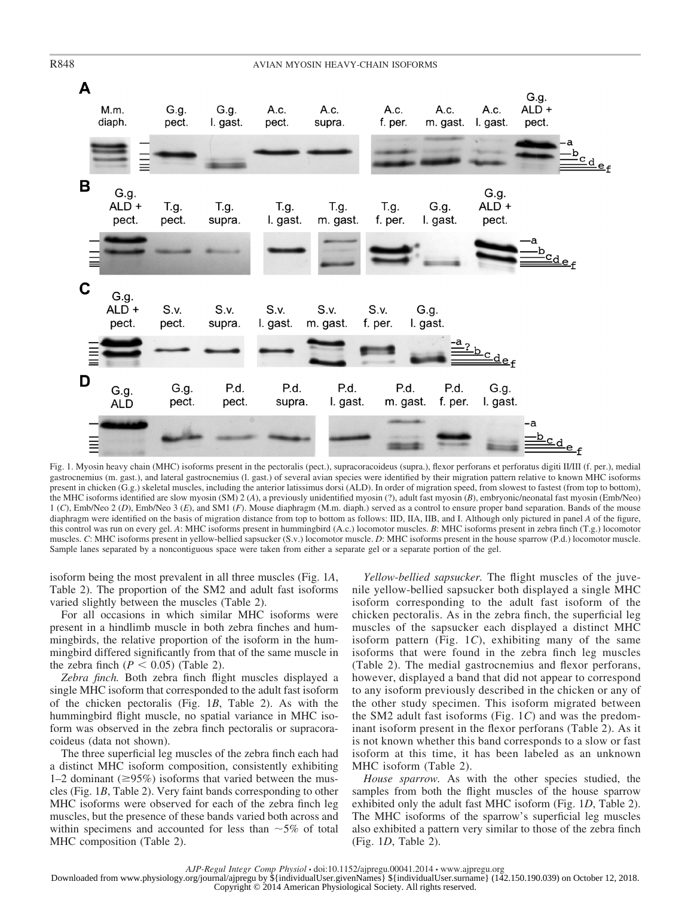

Fig. 1. Myosin heavy chain (MHC) isoforms present in the pectoralis (pect.), supracoracoideus (supra.), flexor perforans et perforatus digiti II/III (f. per.), medial gastrocnemius (m. gast.), and lateral gastrocnemius (l. gast.) of several avian species were identified by their migration pattern relative to known MHC isoforms present in chicken (G.g.) skeletal muscles, including the anterior latissimus dorsi (ALD). In order of migration speed, from slowest to fastest (from top to bottom), the MHC isoforms identified are slow myosin (SM) 2 (*A*), a previously unidentified myosin (?), adult fast myosin (*B*), embryonic/neonatal fast myosin (Emb/Neo) 1 (*C*), Emb/Neo 2 (*D*), Emb/Neo 3 (*E*), and SM1 (*F*). Mouse diaphragm (M.m. diaph.) served as a control to ensure proper band separation. Bands of the mouse diaphragm were identified on the basis of migration distance from top to bottom as follows: IID, IIA, IIB, and I. Although only pictured in panel *A* of the figure, this control was run on every gel. *A*: MHC isoforms present in hummingbird (A.c.) locomotor muscles. *B*: MHC isoforms present in zebra finch (T.g.) locomotor muscles. *C*: MHC isoforms present in yellow-bellied sapsucker (S.v.) locomotor muscle. *D*: MHC isoforms present in the house sparrow (P.d.) locomotor muscle. Sample lanes separated by a noncontiguous space were taken from either a separate gel or a separate portion of the gel.

isoform being the most prevalent in all three muscles (Fig. 1*A*, Table 2). The proportion of the SM2 and adult fast isoforms varied slightly between the muscles (Table 2).

For all occasions in which similar MHC isoforms were present in a hindlimb muscle in both zebra finches and hummingbirds, the relative proportion of the isoform in the hummingbird differed significantly from that of the same muscle in the zebra finch  $(P < 0.05)$  (Table 2).

*Zebra finch.* Both zebra finch flight muscles displayed a single MHC isoform that corresponded to the adult fast isoform of the chicken pectoralis (Fig. 1*B*, Table 2). As with the hummingbird flight muscle, no spatial variance in MHC isoform was observed in the zebra finch pectoralis or supracoracoideus (data not shown).

The three superficial leg muscles of the zebra finch each had a distinct MHC isoform composition, consistently exhibiting 1–2 dominant ( $\geq$ 95%) isoforms that varied between the muscles (Fig. 1*B*, Table 2). Very faint bands corresponding to other MHC isoforms were observed for each of the zebra finch leg muscles, but the presence of these bands varied both across and within specimens and accounted for less than  $\sim$ 5% of total MHC composition (Table 2).

*Yellow-bellied sapsucker.* The flight muscles of the juvenile yellow-bellied sapsucker both displayed a single MHC isoform corresponding to the adult fast isoform of the chicken pectoralis. As in the zebra finch, the superficial leg muscles of the sapsucker each displayed a distinct MHC isoform pattern (Fig. 1*C*), exhibiting many of the same isoforms that were found in the zebra finch leg muscles (Table 2). The medial gastrocnemius and flexor perforans, however, displayed a band that did not appear to correspond to any isoform previously described in the chicken or any of the other study specimen. This isoform migrated between the SM2 adult fast isoforms (Fig. 1*C*) and was the predominant isoform present in the flexor perforans (Table 2). As it is not known whether this band corresponds to a slow or fast isoform at this time, it has been labeled as an unknown MHC isoform (Table 2).

*House sparrow.* As with the other species studied, the samples from both the flight muscles of the house sparrow exhibited only the adult fast MHC isoform (Fig. 1*D*, Table 2). The MHC isoforms of the sparrow's superficial leg muscles also exhibited a pattern very similar to those of the zebra finch (Fig. 1*D*, Table 2).

AJP-Regul Integr Comp Physiol • doi:10.1152/ajpregu.00041.2014 • www.ajpregu.org<br>Downloaded from www.physiology.org/journal/ajpregu by \${individualUser.givenNames} \${individualUser.surname} (142.150.190.039) on October 12,

Copyright © 2014 American Physiological Society. All rights reserved.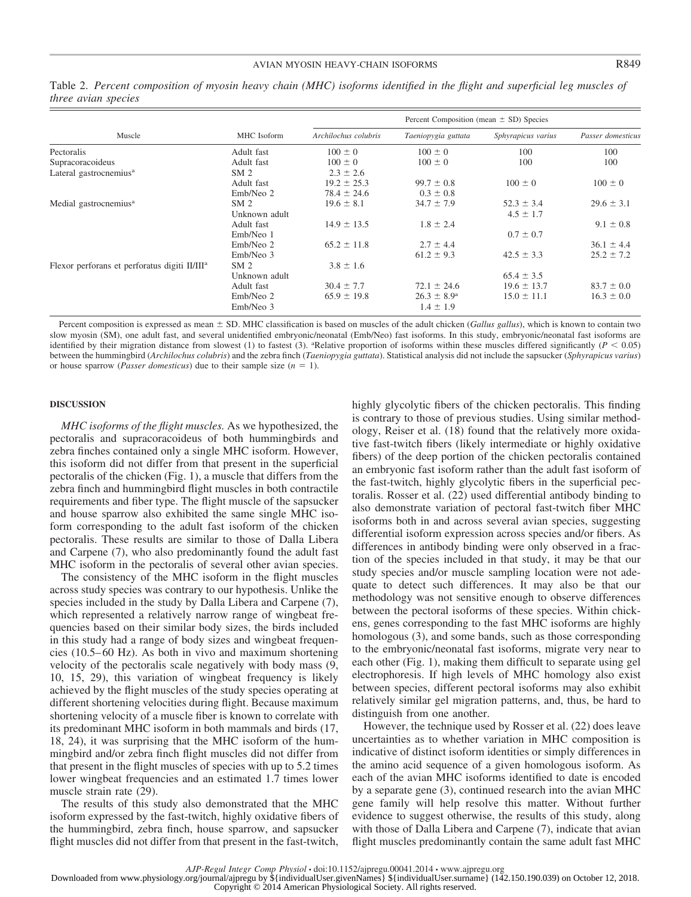| Muscle                                                    | MHC Isoform     | Percent Composition (mean $\pm$ SD) Species |                        |                    |                   |
|-----------------------------------------------------------|-----------------|---------------------------------------------|------------------------|--------------------|-------------------|
|                                                           |                 | Archilochus colubris                        | Taeniopygia guttata    | Sphyrapicus varius | Passer domesticus |
| Pectoralis                                                | Adult fast      | $100 \pm 0$                                 | $100 \pm 0$            | 100                | 100               |
| Supracoracoideus                                          | Adult fast      | $100 \pm 0$                                 | $100 \pm 0$            | 100                | 100               |
| Lateral gastrocnemius <sup>a</sup>                        | SM <sub>2</sub> | $2.3 \pm 2.6$                               |                        |                    |                   |
|                                                           | Adult fast      | $19.2 \pm 25.3$                             | $99.7 \pm 0.8$         | $100 \pm 0$        | $100 \pm 0$       |
|                                                           | Emb/Neo 2       | $78.4 \pm 24.6$                             | $0.3 \pm 0.8$          |                    |                   |
| Medial gastrocnemius <sup>a</sup>                         | SM <sub>2</sub> | $19.6 \pm 8.1$                              | $34.7 \pm 7.9$         | $52.3 \pm 3.4$     | $29.6 \pm 3.1$    |
|                                                           | Unknown adult   |                                             |                        | $4.5 \pm 1.7$      |                   |
|                                                           | Adult fast      | $14.9 \pm 13.5$                             | $1.8 \pm 2.4$          |                    | $9.1 \pm 0.8$     |
|                                                           | Emb/Neo 1       |                                             |                        | $0.7 \pm 0.7$      |                   |
|                                                           | Emb/Neo 2       | $65.2 \pm 11.8$                             | $2.7 \pm 4.4$          |                    | $36.1 \pm 4.4$    |
|                                                           | Emb/Neo 3       |                                             | $61.2 \pm 9.3$         | $42.5 \pm 3.3$     | $25.2 \pm 7.2$    |
| Flexor perforans et perforatus digiti II/III <sup>a</sup> | SM <sub>2</sub> | $3.8 \pm 1.6$                               |                        |                    |                   |
|                                                           | Unknown adult   |                                             |                        | $65.4 \pm 3.5$     |                   |
|                                                           | Adult fast      | $30.4 \pm 7.7$                              | $72.1 \pm 24.6$        | $19.6 \pm 13.7$    | $83.7 \pm 0.0$    |
|                                                           | Emb/Neo 2       | $65.9 \pm 19.8$                             | $26.3 \pm 8.9^{\rm a}$ | $15.0 \pm 11.1$    | $16.3 \pm 0.0$    |
|                                                           | Emb/Neo 3       |                                             | $1.4 \pm 1.9$          |                    |                   |

Table 2. *Percent composition of myosin heavy chain (MHC) isoforms identified in the flight and superficial leg muscles of three avian species*

Percent composition is expressed as mean  $\pm$  SD. MHC classification is based on muscles of the adult chicken (*Gallus gallus*), which is known to contain two slow myosin (SM), one adult fast, and several unidentified embryonic/neonatal (Emb/Neo) fast isoforms. In this study, embryonic/neonatal fast isoforms are identified by their migration distance from slowest (1) to fastest (3). <sup>a</sup>Relative proportion of isoforms within these muscles differed significantly ( $P < 0.05$ ) between the hummingbird (*Archilochus colubris*) and the zebra finch (*Taeniopygia guttata*). Statistical analysis did not include the sapsucker (*Sphyrapicus varius*) or house sparrow (*Passer domesticus*) due to their sample size  $(n = 1)$ .

### **DISCUSSION**

*MHC isoforms of the flight muscles.* As we hypothesized, the pectoralis and supracoracoideus of both hummingbirds and zebra finches contained only a single MHC isoform. However, this isoform did not differ from that present in the superficial pectoralis of the chicken (Fig. 1), a muscle that differs from the zebra finch and hummingbird flight muscles in both contractile requirements and fiber type. The flight muscle of the sapsucker and house sparrow also exhibited the same single MHC isoform corresponding to the adult fast isoform of the chicken pectoralis. These results are similar to those of Dalla Libera and Carpene (7), who also predominantly found the adult fast MHC isoform in the pectoralis of several other avian species.

The consistency of the MHC isoform in the flight muscles across study species was contrary to our hypothesis. Unlike the species included in the study by Dalla Libera and Carpene (7), which represented a relatively narrow range of wingbeat frequencies based on their similar body sizes, the birds included in this study had a range of body sizes and wingbeat frequencies (10.5– 60 Hz). As both in vivo and maximum shortening velocity of the pectoralis scale negatively with body mass (9, 10, 15, 29), this variation of wingbeat frequency is likely achieved by the flight muscles of the study species operating at different shortening velocities during flight. Because maximum shortening velocity of a muscle fiber is known to correlate with its predominant MHC isoform in both mammals and birds (17, 18, 24), it was surprising that the MHC isoform of the hummingbird and/or zebra finch flight muscles did not differ from that present in the flight muscles of species with up to 5.2 times lower wingbeat frequencies and an estimated 1.7 times lower muscle strain rate (29).

The results of this study also demonstrated that the MHC isoform expressed by the fast-twitch, highly oxidative fibers of the hummingbird, zebra finch, house sparrow, and sapsucker flight muscles did not differ from that present in the fast-twitch, highly glycolytic fibers of the chicken pectoralis. This finding is contrary to those of previous studies. Using similar methodology, Reiser et al. (18) found that the relatively more oxidative fast-twitch fibers (likely intermediate or highly oxidative fibers) of the deep portion of the chicken pectoralis contained an embryonic fast isoform rather than the adult fast isoform of the fast-twitch, highly glycolytic fibers in the superficial pectoralis. Rosser et al. (22) used differential antibody binding to also demonstrate variation of pectoral fast-twitch fiber MHC isoforms both in and across several avian species, suggesting differential isoform expression across species and/or fibers. As differences in antibody binding were only observed in a fraction of the species included in that study, it may be that our study species and/or muscle sampling location were not adequate to detect such differences. It may also be that our methodology was not sensitive enough to observe differences between the pectoral isoforms of these species. Within chickens, genes corresponding to the fast MHC isoforms are highly homologous (3), and some bands, such as those corresponding to the embryonic/neonatal fast isoforms, migrate very near to each other (Fig. 1), making them difficult to separate using gel electrophoresis. If high levels of MHC homology also exist between species, different pectoral isoforms may also exhibit relatively similar gel migration patterns, and, thus, be hard to distinguish from one another.

However, the technique used by Rosser et al. (22) does leave uncertainties as to whether variation in MHC composition is indicative of distinct isoform identities or simply differences in the amino acid sequence of a given homologous isoform. As each of the avian MHC isoforms identified to date is encoded by a separate gene (3), continued research into the avian MHC gene family will help resolve this matter. Without further evidence to suggest otherwise, the results of this study, along with those of Dalla Libera and Carpene (7), indicate that avian flight muscles predominantly contain the same adult fast MHC

AJP-Regul Integr Comp Physiol • doi:10.1152/ajpregu.00041.2014 • www.ajpregu.org<br>Downloaded from www.physiology.org/journal/ajpregu by \${individualUser.givenNames} \${individualUser.surname} (142.150.190.039) on October 12, Copyright © 2014 American Physiological Society. All rights reserved.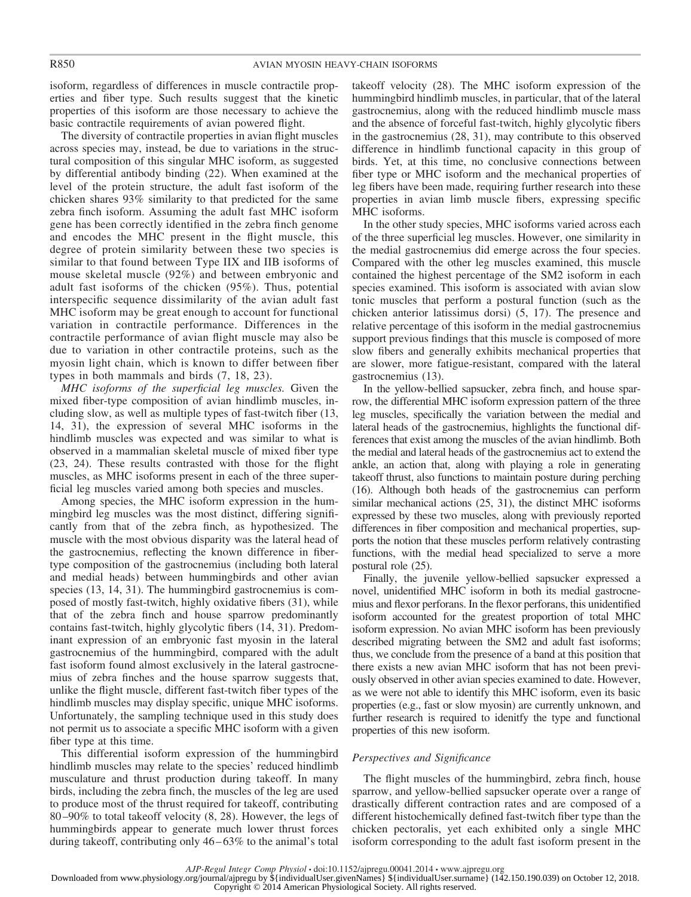isoform, regardless of differences in muscle contractile properties and fiber type. Such results suggest that the kinetic properties of this isoform are those necessary to achieve the basic contractile requirements of avian powered flight.

The diversity of contractile properties in avian flight muscles across species may, instead, be due to variations in the structural composition of this singular MHC isoform, as suggested by differential antibody binding (22). When examined at the level of the protein structure, the adult fast isoform of the chicken shares 93% similarity to that predicted for the same zebra finch isoform. Assuming the adult fast MHC isoform gene has been correctly identified in the zebra finch genome and encodes the MHC present in the flight muscle, this degree of protein similarity between these two species is similar to that found between Type IIX and IIB isoforms of mouse skeletal muscle (92%) and between embryonic and adult fast isoforms of the chicken (95%). Thus, potential interspecific sequence dissimilarity of the avian adult fast MHC isoform may be great enough to account for functional variation in contractile performance. Differences in the contractile performance of avian flight muscle may also be due to variation in other contractile proteins, such as the myosin light chain, which is known to differ between fiber types in both mammals and birds (7, 18, 23).

*MHC isoforms of the superficial leg muscles.* Given the mixed fiber-type composition of avian hindlimb muscles, including slow, as well as multiple types of fast-twitch fiber (13, 14, 31), the expression of several MHC isoforms in the hindlimb muscles was expected and was similar to what is observed in a mammalian skeletal muscle of mixed fiber type (23, 24). These results contrasted with those for the flight muscles, as MHC isoforms present in each of the three superficial leg muscles varied among both species and muscles.

Among species, the MHC isoform expression in the hummingbird leg muscles was the most distinct, differing significantly from that of the zebra finch, as hypothesized. The muscle with the most obvious disparity was the lateral head of the gastrocnemius, reflecting the known difference in fibertype composition of the gastrocnemius (including both lateral and medial heads) between hummingbirds and other avian species (13, 14, 31). The hummingbird gastrocnemius is composed of mostly fast-twitch, highly oxidative fibers (31), while that of the zebra finch and house sparrow predominantly contains fast-twitch, highly glycolytic fibers (14, 31). Predominant expression of an embryonic fast myosin in the lateral gastrocnemius of the hummingbird, compared with the adult fast isoform found almost exclusively in the lateral gastrocnemius of zebra finches and the house sparrow suggests that, unlike the flight muscle, different fast-twitch fiber types of the hindlimb muscles may display specific, unique MHC isoforms. Unfortunately, the sampling technique used in this study does not permit us to associate a specific MHC isoform with a given fiber type at this time.

This differential isoform expression of the hummingbird hindlimb muscles may relate to the species' reduced hindlimb musculature and thrust production during takeoff. In many birds, including the zebra finch, the muscles of the leg are used to produce most of the thrust required for takeoff, contributing 80 –90% to total takeoff velocity (8, 28). However, the legs of hummingbirds appear to generate much lower thrust forces during takeoff, contributing only 46 – 63% to the animal's total

takeoff velocity (28). The MHC isoform expression of the hummingbird hindlimb muscles, in particular, that of the lateral gastrocnemius, along with the reduced hindlimb muscle mass and the absence of forceful fast-twitch, highly glycolytic fibers in the gastrocnemius (28, 31), may contribute to this observed difference in hindlimb functional capacity in this group of birds. Yet, at this time, no conclusive connections between fiber type or MHC isoform and the mechanical properties of leg fibers have been made, requiring further research into these properties in avian limb muscle fibers, expressing specific MHC isoforms.

In the other study species, MHC isoforms varied across each of the three superficial leg muscles. However, one similarity in the medial gastrocnemius did emerge across the four species. Compared with the other leg muscles examined, this muscle contained the highest percentage of the SM2 isoform in each species examined. This isoform is associated with avian slow tonic muscles that perform a postural function (such as the chicken anterior latissimus dorsi) (5, 17). The presence and relative percentage of this isoform in the medial gastrocnemius support previous findings that this muscle is composed of more slow fibers and generally exhibits mechanical properties that are slower, more fatigue-resistant, compared with the lateral gastrocnemius (13).

In the yellow-bellied sapsucker, zebra finch, and house sparrow, the differential MHC isoform expression pattern of the three leg muscles, specifically the variation between the medial and lateral heads of the gastrocnemius, highlights the functional differences that exist among the muscles of the avian hindlimb. Both the medial and lateral heads of the gastrocnemius act to extend the ankle, an action that, along with playing a role in generating takeoff thrust, also functions to maintain posture during perching (16). Although both heads of the gastrocnemius can perform similar mechanical actions (25, 31), the distinct MHC isoforms expressed by these two muscles, along with previously reported differences in fiber composition and mechanical properties, supports the notion that these muscles perform relatively contrasting functions, with the medial head specialized to serve a more postural role (25).

Finally, the juvenile yellow-bellied sapsucker expressed a novel, unidentified MHC isoform in both its medial gastrocnemius and flexor perforans. In the flexor perforans, this unidentified isoform accounted for the greatest proportion of total MHC isoform expression. No avian MHC isoform has been previously described migrating between the SM2 and adult fast isoforms; thus, we conclude from the presence of a band at this position that there exists a new avian MHC isoform that has not been previously observed in other avian species examined to date. However, as we were not able to identify this MHC isoform, even its basic properties (e.g., fast or slow myosin) are currently unknown, and further research is required to idenitfy the type and functional properties of this new isoform.

# *Perspectives and Significance*

The flight muscles of the hummingbird, zebra finch, house sparrow, and yellow-bellied sapsucker operate over a range of drastically different contraction rates and are composed of a different histochemically defined fast-twitch fiber type than the chicken pectoralis, yet each exhibited only a single MHC isoform corresponding to the adult fast isoform present in the

AJP-Regul Integr Comp Physiol • doi:10.1152/ajpregu.00041.2014 • www.ajpregu.org<br>Downloaded from www.physiology.org/journal/ajpregu by \${individualUser.givenNames} \${individualUser.surname} (142.150.190.039) on October 12,

Copyright © 2014 American Physiological Society. All rights reserved.